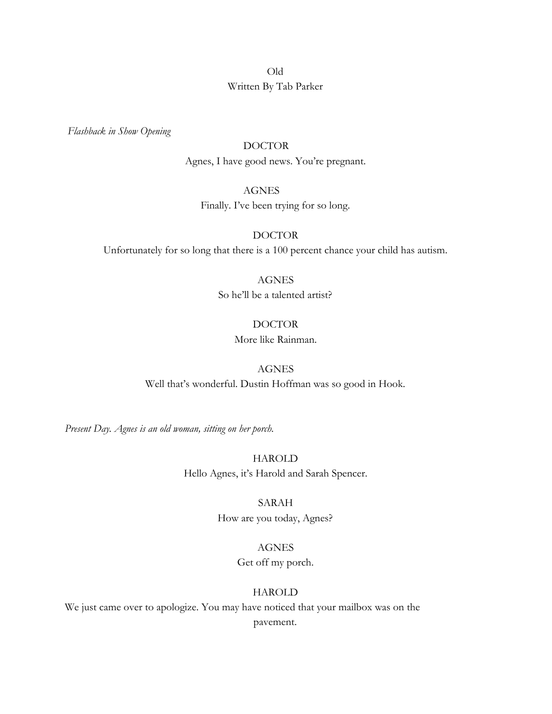# Old Written By Tab Parker

 *Flashback in Show Opening*

## DOCTOR

Agnes, I have good news. You're pregnant.

## AGNES

Finally. I've been trying for so long.

## DOCTOR

Unfortunately for so long that there is a 100 percent chance your child has autism.

#### AGNES

So he'll be a talented artist?

### DOCTOR

More like Rainman.

## AGNES

Well that's wonderful. Dustin Hoffman was so good in Hook.

*Present Day. Agnes is an old woman, sitting on her porch.*

HAROLD Hello Agnes, it's Harold and Sarah Spencer.

#### SARAH

How are you today, Agnes?

#### AGNES

Get off my porch.

### HAROLD

We just came over to apologize. You may have noticed that your mailbox was on the pavement.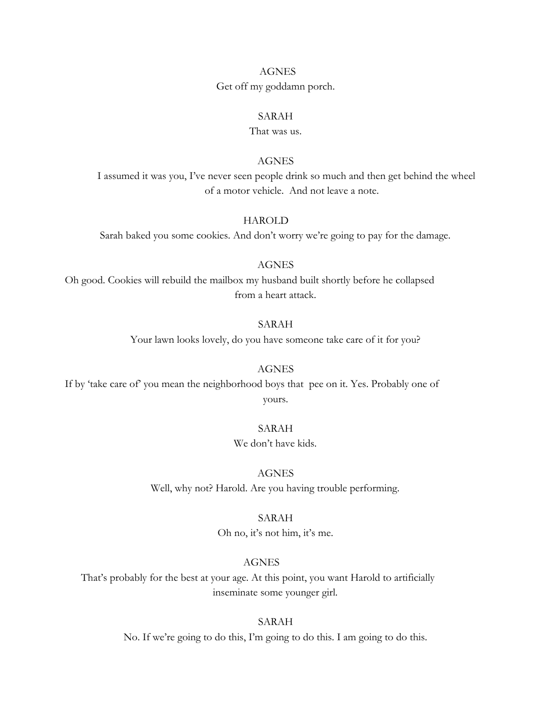#### AGNES

Get off my goddamn porch.

## SARAH

That was us.

## AGNES

I assumed it was you, I've never seen people drink so much and then get behind the wheel of a motor vehicle. And not leave a note.

## **HAROLD**

Sarah baked you some cookies. And don't worry we're going to pay for the damage.

#### AGNES

Oh good. Cookies will rebuild the mailbox my husband built shortly before he collapsed from a heart attack.

#### SARAH

Your lawn looks lovely, do you have someone take care of it for you?

### AGNES

If by 'take care of' you mean the neighborhood boys that pee on it. Yes. Probably one of yours.

#### SARAH

We don't have kids.

#### AGNES

Well, why not? Harold. Are you having trouble performing.

#### SARAH

Oh no, it's not him, it's me.

## AGNES

That's probably for the best at your age. At this point, you want Harold to artificially inseminate some younger girl.

#### SARAH

No. If we're going to do this, I'm going to do this. I am going to do this.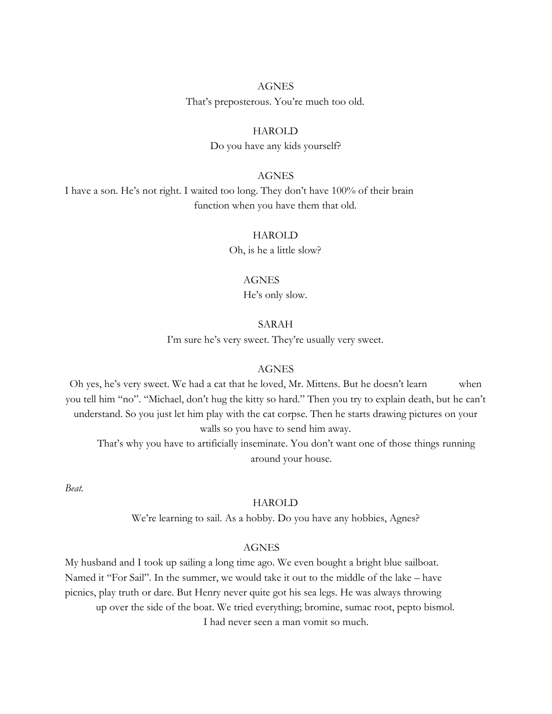# AGNES That's preposterous. You're much too old.

## HAROLD

Do you have any kids yourself?

## AGNES

I have a son. He's not right. I waited too long. They don't have 100% of their brain function when you have them that old.

## HAROLD

Oh, is he a little slow?

## AGNES

He's only slow.

## SARAH

I'm sure he's very sweet. They're usually very sweet.

## **AGNES**

Oh yes, he's very sweet. We had a cat that he loved, Mr. Mittens. But he doesn't learn when you tell him "no". "Michael, don't hug the kitty so hard." Then you try to explain death, but he can't understand. So you just let him play with the cat corpse. Then he starts drawing pictures on your walls so you have to send him away.

That's why you have to artificially inseminate. You don't want one of those things running around your house.

*Beat.*

## HAROLD

We're learning to sail. As a hobby. Do you have any hobbies, Agnes?

## AGNES

My husband and I took up sailing a long time ago. We even bought a bright blue sailboat. Named it "For Sail". In the summer, we would take it out to the middle of the lake – have picnics, play truth or dare. But Henry never quite got his sea legs. He was always throwing up over the side of the boat. We tried everything; bromine, sumac root, pepto bismol. I had never seen a man vomit so much.